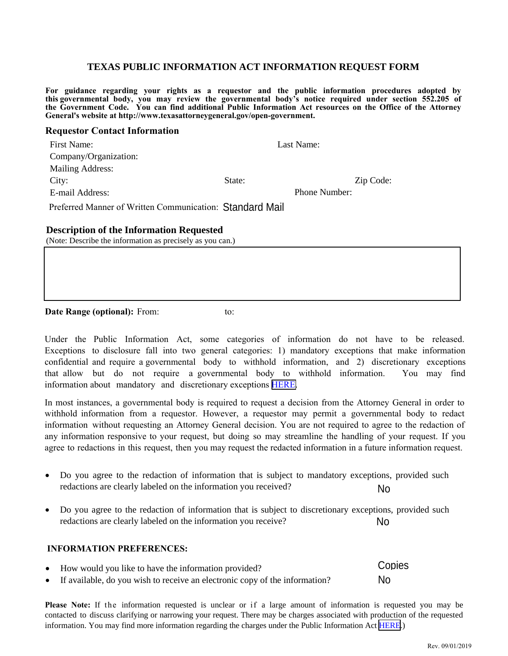### **TEXAS PUBLIC INFORMATION ACT INFORMATION REQUEST FORM**

**For guidance regarding your rights as a requestor and the public information procedures adopted by this governmental body, you may review the governmental body's notice required under section 552.205 of**  the Government Code. You can find additional Public Information Act resources on the Office of the Attorney **General's website at http://www.texasattorneygeneral.gov/open-government.**

#### **Requestor Contact Information**

| First Name:                                              |        | Last Name:    |           |
|----------------------------------------------------------|--------|---------------|-----------|
| Company/Organization:                                    |        |               |           |
| Mailing Address:                                         |        |               |           |
| City:                                                    | State: |               | Zip Code: |
| E-mail Address:                                          |        | Phone Number: |           |
| Preferred Manner of Written Communication: Standard Mail |        |               |           |

#### **Description of the Information Requested**

(Note: Describe the information as precisely as you can.)

**Date Range (optional):** From: to:

Under the Public Information Act, some categories of information do not have to be released. Exceptions to disclosure fall into two general categories: 1) mandatory exceptions that make information confidential and require a governmental body to withhold information, and 2) discretionary exceptions that allow but do not require a governmental body to withhold information. You may find information about mandatory and discretionary exceptions [HERE.](http://www.texasattorneygeneral.gov/open-government/members-public/confidential-information-under-public-information-act) Standard Mail<br>
an.)<br>
to:<br>
categories: 1) mandatory exceptions that make information<br>
to withhold information. And 2) discretionary exceptions<br>
mental body to withold information. You may find<br>
y exceptions <u>HERE</u>.<br>
ired to

In most instances, a governmental body is required to request a decision from the Attorney General in order to withhold information from a requestor. However, a requestor may permit a governmental body to redact information without requesting an Attorney General decision. You are not required to agree to the redaction of any information responsive to your request, but doing so may streamline the handling of your request. If you agree to redactions in this request, then you may request the redacted information in a future information request.

- Do you agree to the redaction of information that is subject to mandatory exceptions, provided such redactions are clearly labeled on the information you received?
- Do you agree to the redaction of information that is subject to discretionary exceptions, provided such redactions are clearly labeled on the information you receive?

#### **INFORMATION PREFERENCES:**

| • How would you like to have the information provided?                        | Copies |
|-------------------------------------------------------------------------------|--------|
| • If available, do you wish to receive an electronic copy of the information? | No     |

**Please Note:** If the information requested is unclear or if a large amount of information is requested you may be contacted to discuss clarifying or narrowing your request. There may be charges associated with production of the requested information. You may find more information regarding the charges under the Public Information Act [HERE.](http://www.texasattorneygeneral.gov/open-government/governmental-bodies/charges-public-information))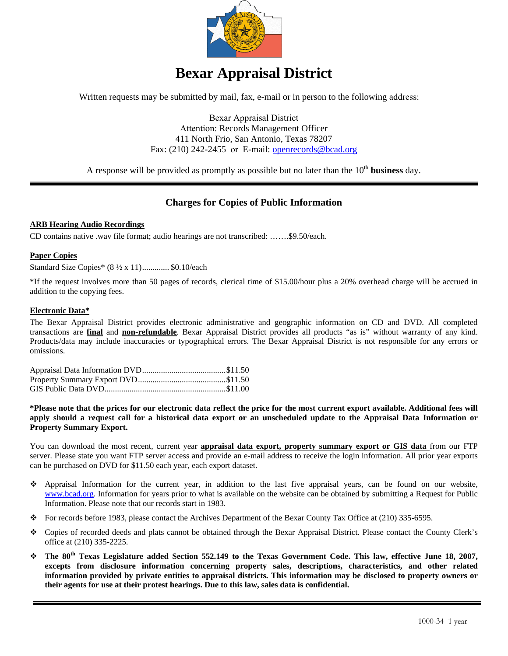

# **Bexar Appraisal District**

Written requests may be submitted by mail, fax, e-mail or in person to the following address:

Bexar Appraisal District Attention: Records Management Officer 411 North Frio, San Antonio, Texas 78207 Fax: (210) 242-2455 or E-mail: openrecords@bcad.org

A response will be provided as promptly as possible but no later than the  $10<sup>th</sup>$  business day.

### **Charges for Copies of Public Information**

#### **ARB Hearing Audio Recordings**

CD contains native .wav file format; audio hearings are not transcribed: …….\$9.50/each.

#### **Paper Copies**

Standard Size Copies\* (8 ½ x 11) ............. \$0.10/each

\*If the request involves more than 50 pages of records, clerical time of \$15.00/hour plus a 20% overhead charge will be accrued in addition to the copying fees.

#### **Electronic Data\***

The Bexar Appraisal District provides electronic administrative and geographic information on CD and DVD. All completed transactions are **final** and **non-refundable**. Bexar Appraisal District provides all products "as is" without warranty of any kind. Products/data may include inaccuracies or typographical errors. The Bexar Appraisal District is not responsible for any errors or omissions.

**\*Please note that the prices for our electronic data reflect the price for the most current export available. Additional fees will apply should a request call for a historical data export or an unscheduled update to the Appraisal Data Information or Property Summary Export.** 

You can download the most recent, current year **appraisal data export, property summary export or GIS data** from our FTP server. Please state you want FTP server access and provide an e-mail address to receive the login information. All prior year exports can be purchased on DVD for \$11.50 each year, each export dataset.

- Appraisal Information for the current year, in addition to the last five appraisal years, can be found on our website, www.bcad.org. Information for years prior to what is available on the website can be obtained by submitting a Request for Public Information. Please note that our records start in 1983.
- For records before 1983, please contact the Archives Department of the Bexar County Tax Office at (210) 335-6595.
- Copies of recorded deeds and plats cannot be obtained through the Bexar Appraisal District. Please contact the County Clerk's office at (210) 335-2225.
- **The 80th Texas Legislature added Section 552.149 to the Texas Government Code. This law, effective June 18, 2007, excepts from disclosure information concerning property sales, descriptions, characteristics, and other related information provided by private entities to appraisal districts. This information may be disclosed to property owners or their agents for use at their protest hearings. Due to this law, sales data is confidential.**